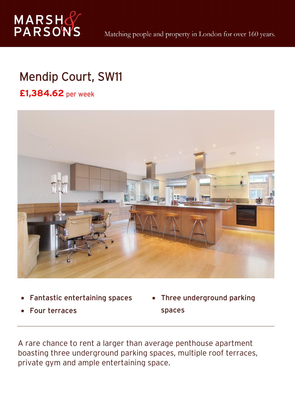

## Mendip Court, SW11

**£1,384.62** per week



- $\bullet$ Fantastic entertaining spaces
- 0 Four terraces

• Three underground parking spaces

A rare chance to rent a larger than average penthouse apartment boasting three underground parking spaces, multiple roof terraces, private gym and ample entertaining space.